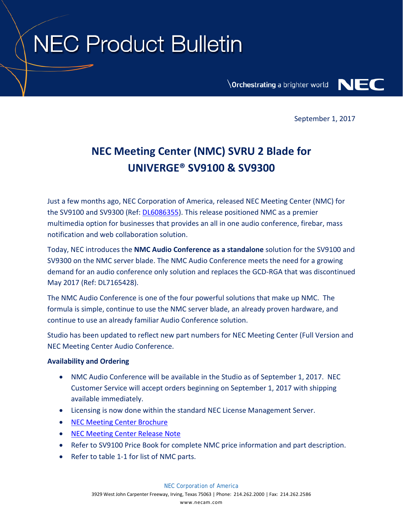## **NEC Product Bulletin**

**Orchestrating a brighter world** 



September 1, 2017

## **NEC Meeting Center (NMC) SVRU 2 Blade for UNIVERGE® SV9100 & SV9300**

Just a few months ago, NEC Corporation of America, released NEC Meeting Center (NMC) for the SV9100 and SV9300 (Ref: [DL6086355\)](https://www.necanytime.com/group/information-portal/knowledgebase/-/knowledgebase/viewDocument/6086355/false). This release positioned NMC as a premier multimedia option for businesses that provides an all in one audio conference, firebar, mass notification and web collaboration solution.

Today, NEC introduces the **NMC Audio Conference as a standalone** solution for the SV9100 and SV9300 on the NMC server blade. The NMC Audio Conference meets the need for a growing demand for an audio conference only solution and replaces the GCD-RGA that was discontinued May 2017 (Ref: DL7165428).

The NMC Audio Conference is one of the four powerful solutions that make up NMC. The formula is simple, continue to use the NMC server blade, an already proven hardware, and continue to use an already familiar Audio Conference solution.

Studio has been updated to reflect new part numbers for NEC Meeting Center (Full Version and NEC Meeting Center Audio Conference.

## **Availability and Ordering**

- NMC Audio Conference will be available in the Studio as of September 1, 2017. NEC Customer Service will accept orders beginning on September 1, 2017 with shipping available immediately.
- Licensing is now done within the standard NEC License Management Server.
- [NEC Meeting Center Brochure](https://www.necam.com/docs/?id=7e6b1952-de80-42ed-b946-236a2d933176)
- [NEC Meeting Center Release Note](https://www.necanytime.com/group/information-portal/knowledgebase/-/knowledgebase/viewDocument/6495762/false)
- Refer to SV9100 Price Book for complete NMC price information and part description.
- Refer to table 1-1 for list of NMC parts.